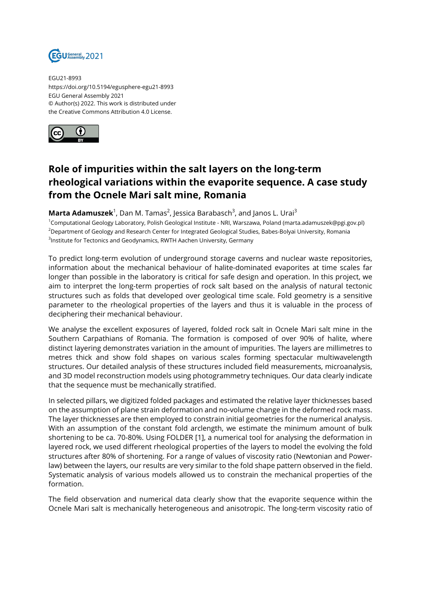

EGU21-8993 https://doi.org/10.5194/egusphere-egu21-8993 EGU General Assembly 2021 © Author(s) 2022. This work is distributed under the Creative Commons Attribution 4.0 License.



## **Role of impurities within the salt layers on the long-term rheological variations within the evaporite sequence. A case study from the Ocnele Mari salt mine, Romania**

**Marta Adamuszek**<sup>1</sup>, Dan M. Tamas<sup>2</sup>, Jessica Barabasch<sup>3</sup>, and Janos L. Urai<sup>3</sup>

<sup>1</sup>Computational Geology Laboratory, Polish Geological Institute - NRI, Warszawa, Poland (marta.adamuszek@pgi.gov.pl) <sup>2</sup>Department of Geology and Research Center for Integrated Geological Studies, Babes-Bolyai University, Romania  $^3$ Institute for Tectonics and Geodynamics, RWTH Aachen University, Germany

To predict long-term evolution of underground storage caverns and nuclear waste repositories, information about the mechanical behaviour of halite-dominated evaporites at time scales far longer than possible in the laboratory is critical for safe design and operation. In this project, we aim to interpret the long-term properties of rock salt based on the analysis of natural tectonic structures such as folds that developed over geological time scale. Fold geometry is a sensitive parameter to the rheological properties of the layers and thus it is valuable in the process of deciphering their mechanical behaviour.

We analyse the excellent exposures of layered, folded rock salt in Ocnele Mari salt mine in the Southern Carpathians of Romania. The formation is composed of over 90% of halite, where distinct layering demonstrates variation in the amount of impurities. The layers are millimetres to metres thick and show fold shapes on various scales forming spectacular multiwavelength structures. Our detailed analysis of these structures included field measurements, microanalysis, and 3D model reconstruction models using photogrammetry techniques. Our data clearly indicate that the sequence must be mechanically stratified.

In selected pillars, we digitized folded packages and estimated the relative layer thicknesses based on the assumption of plane strain deformation and no-volume change in the deformed rock mass. The layer thicknesses are then employed to constrain initial geometries for the numerical analysis. With an assumption of the constant fold arclength, we estimate the minimum amount of bulk shortening to be ca. 70-80%. Using FOLDER [1], a numerical tool for analysing the deformation in layered rock, we used different rheological properties of the layers to model the evolving the fold structures after 80% of shortening. For a range of values of viscosity ratio (Newtonian and Powerlaw) between the layers, our results are very similar to the fold shape pattern observed in the field. Systematic analysis of various models allowed us to constrain the mechanical properties of the formation.

The field observation and numerical data clearly show that the evaporite sequence within the Ocnele Mari salt is mechanically heterogeneous and anisotropic. The long-term viscosity ratio of